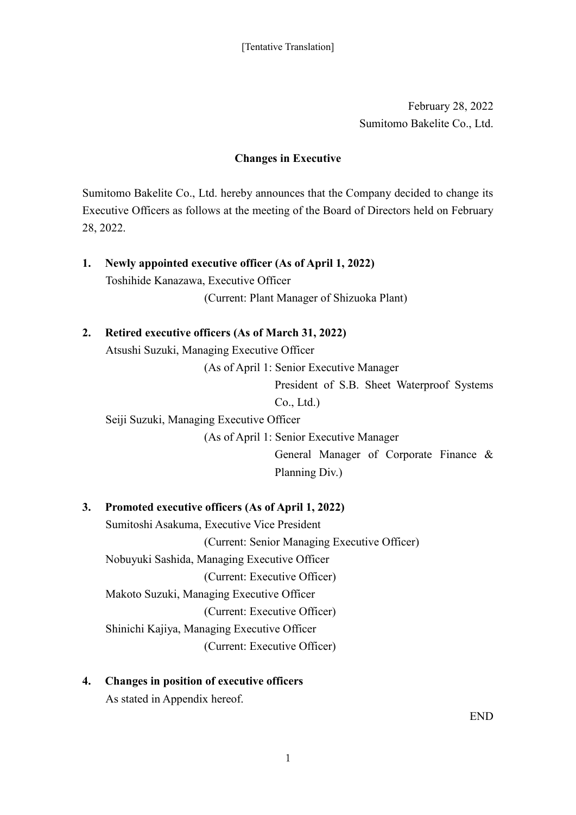February 28, 2022 Sumitomo Bakelite Co., Ltd.

## **Changes in Executive**

Sumitomo Bakelite Co., Ltd. hereby announces that the Company decided to change its Executive Officers as follows at the meeting of the Board of Directors held on February 28, 2022.

- **1. Newly appointed executive officer (As of April 1, 2022)** Toshihide Kanazawa, Executive Officer (Current: Plant Manager of Shizuoka Plant)
- **2. Retired executive officers (As of March 31, 2022)**

Atsushi Suzuki, Managing Executive Officer

(As of April 1: Senior Executive Manager

President of S.B. Sheet Waterproof Systems Co., Ltd.)

Seiji Suzuki, Managing Executive Officer

(As of April 1: Senior Executive Manager

General Manager of Corporate Finance & Planning Div.)

## **3. Promoted executive officers (As of April 1, 2022)**

Sumitoshi Asakuma, Executive Vice President (Current: Senior Managing Executive Officer) Nobuyuki Sashida, Managing Executive Officer (Current: Executive Officer) Makoto Suzuki, Managing Executive Officer (Current: Executive Officer) Shinichi Kajiya, Managing Executive Officer (Current: Executive Officer)

**4. Changes in position of executive officers** As stated in Appendix hereof.

END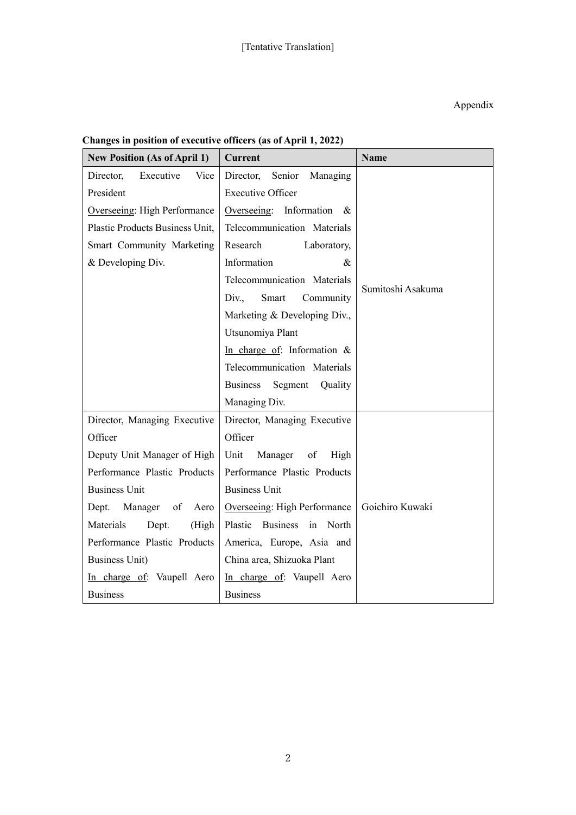| <b>New Position (As of April 1)</b> | <b>Current</b>                        | <b>Name</b>       |
|-------------------------------------|---------------------------------------|-------------------|
| Director,<br>Executive<br>Vice      | Director,<br>Senior<br>Managing       |                   |
| President                           | <b>Executive Officer</b>              |                   |
| Overseeing: High Performance        | Overseeing: Information $\&$          |                   |
| Plastic Products Business Unit,     | Telecommunication Materials           |                   |
| Smart Community Marketing           | Research<br>Laboratory,               |                   |
| & Developing Div.                   | Information<br>$\&$                   |                   |
|                                     | Telecommunication Materials           | Sumitoshi Asakuma |
|                                     | Div.,<br>Community<br>Smart           |                   |
|                                     | Marketing & Developing Div.,          |                   |
|                                     | Utsunomiya Plant                      |                   |
|                                     | In charge of: Information $\&$        |                   |
|                                     | Telecommunication Materials           |                   |
|                                     | <b>Business</b><br>Segment<br>Quality |                   |
|                                     | Managing Div.                         |                   |
| Director, Managing Executive        | Director, Managing Executive          |                   |
| Officer                             | Officer                               |                   |
| Deputy Unit Manager of High         | Unit<br>Manager<br>High<br>of         |                   |
| Performance Plastic Products        | Performance Plastic Products          |                   |
| <b>Business Unit</b>                | <b>Business Unit</b>                  |                   |
| Dept. Manager<br>of<br>Aero         | Overseeing: High Performance          | Goichiro Kuwaki   |
| Materials<br>Dept.<br>(High         | Plastic<br>Business in North          |                   |
| Performance Plastic Products        | America, Europe, Asia and             |                   |
| <b>Business Unit)</b>               | China area, Shizuoka Plant            |                   |
| In charge of: Vaupell Aero          | In charge of: Vaupell Aero            |                   |
| <b>Business</b>                     | <b>Business</b>                       |                   |

## **Changes in position of executive officers (as of April 1, 2022)**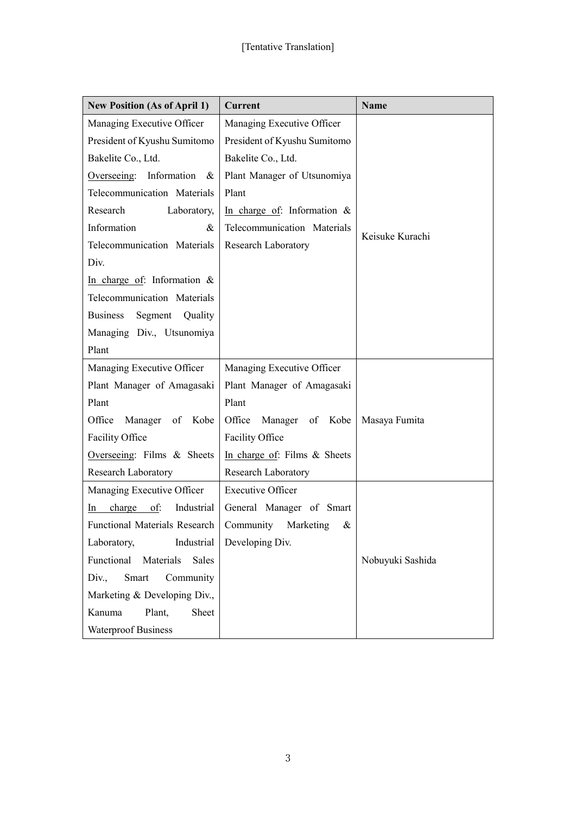| <b>New Position (As of April 1)</b> | <b>Current</b>                  | <b>Name</b>      |
|-------------------------------------|---------------------------------|------------------|
| Managing Executive Officer          | Managing Executive Officer      |                  |
| President of Kyushu Sumitomo        | President of Kyushu Sumitomo    |                  |
| Bakelite Co., Ltd.                  | Bakelite Co., Ltd.              |                  |
| Overseeing: Information<br>$\&$     | Plant Manager of Utsunomiya     |                  |
| Telecommunication Materials         | Plant                           |                  |
| Research<br>Laboratory,             | In charge of: Information $\&$  |                  |
| Information<br>&                    | Telecommunication Materials     | Keisuke Kurachi  |
| Telecommunication Materials         | Research Laboratory             |                  |
| Div.                                |                                 |                  |
| In charge of: Information &         |                                 |                  |
| Telecommunication Materials         |                                 |                  |
| Segment Quality<br><b>Business</b>  |                                 |                  |
| Managing Div., Utsunomiya           |                                 |                  |
| Plant                               |                                 |                  |
| Managing Executive Officer          | Managing Executive Officer      |                  |
| Plant Manager of Amagasaki          | Plant Manager of Amagasaki      |                  |
| Plant                               | Plant                           |                  |
| Office<br>Manager of Kobe           | Office<br>Manager of Kobe       | Masaya Fumita    |
| Facility Office                     | Facility Office                 |                  |
| Overseeing: Films & Sheets          | In charge of: Films $\&$ Sheets |                  |
| <b>Research Laboratory</b>          | Research Laboratory             |                  |
| Managing Executive Officer          | <b>Executive Officer</b>        |                  |
| Industrial<br>charge of:<br>In      | General Manager of Smart        |                  |
| Functional Materials Research       | Community<br>Marketing<br>&     |                  |
| Industrial<br>Laboratory,           | Developing Div.                 |                  |
| Functional Materials<br>Sales       |                                 | Nobuyuki Sashida |
| Div.,<br>Smart<br>Community         |                                 |                  |
| Marketing & Developing Div.,        |                                 |                  |
| Plant,<br>Sheet<br>Kanuma           |                                 |                  |
| <b>Waterproof Business</b>          |                                 |                  |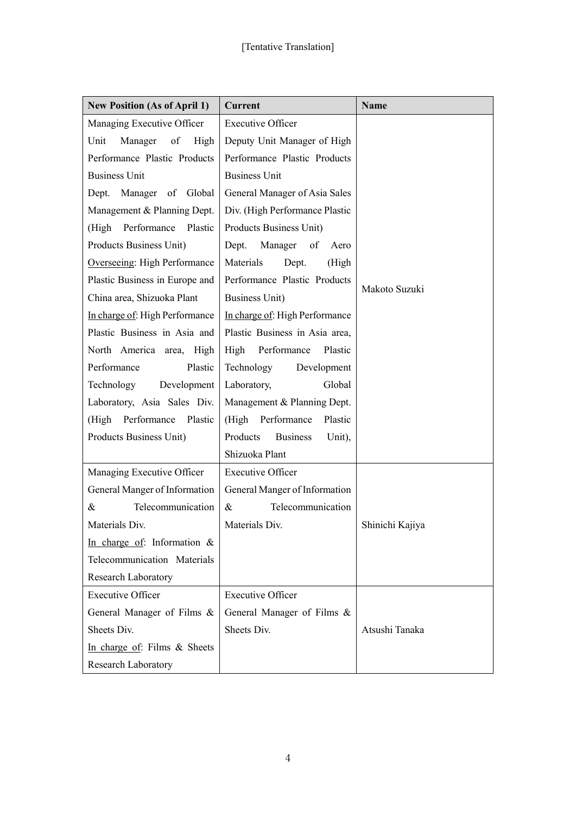| <b>New Position (As of April 1)</b> | <b>Current</b>                 | <b>Name</b>     |
|-------------------------------------|--------------------------------|-----------------|
| Managing Executive Officer          | <b>Executive Officer</b>       |                 |
| Unit<br>Manager of<br>High          | Deputy Unit Manager of High    |                 |
| Performance Plastic Products        | Performance Plastic Products   |                 |
| <b>Business Unit</b>                | <b>Business Unit</b>           |                 |
| Dept. Manager of Global             | General Manager of Asia Sales  |                 |
| Management & Planning Dept.         | Div. (High Performance Plastic |                 |
| (High Performance Plastic           | Products Business Unit)        |                 |
| Products Business Unit)             | Dept. Manager of<br>Aero       |                 |
| Overseeing: High Performance        | Materials<br>(High<br>Dept.    |                 |
| Plastic Business in Europe and      | Performance Plastic Products   |                 |
| China area, Shizuoka Plant          | <b>Business Unit)</b>          | Makoto Suzuki   |
| In charge of: High Performance      | In charge of: High Performance |                 |
| Plastic Business in Asia and        | Plastic Business in Asia area, |                 |
| North America area, High            | High Performance<br>Plastic    |                 |
| Performance<br>Plastic              | Technology<br>Development      |                 |
| Technology<br>Development           | Global<br>Laboratory,          |                 |
| Laboratory, Asia Sales Div.         | Management & Planning Dept.    |                 |
| (High Performance Plastic           | (High Performance)<br>Plastic  |                 |
| Products Business Unit)             | Products Business<br>Unit),    |                 |
|                                     | Shizuoka Plant                 |                 |
| Managing Executive Officer          | <b>Executive Officer</b>       |                 |
| General Manger of Information       | General Manger of Information  |                 |
| Telecommunication<br>&              | Telecommunication<br>$\&$      |                 |
| Materials Div.                      | Materials Div.                 | Shinichi Kajiya |
| In charge of: Information &         |                                |                 |
| Telecommunication Materials         |                                |                 |
| Research Laboratory                 |                                |                 |
| <b>Executive Officer</b>            | <b>Executive Officer</b>       |                 |
| General Manager of Films &          | General Manager of Films &     |                 |
| Sheets Div.                         | Sheets Div.                    | Atsushi Tanaka  |
| In charge of: Films & Sheets        |                                |                 |
| Research Laboratory                 |                                |                 |